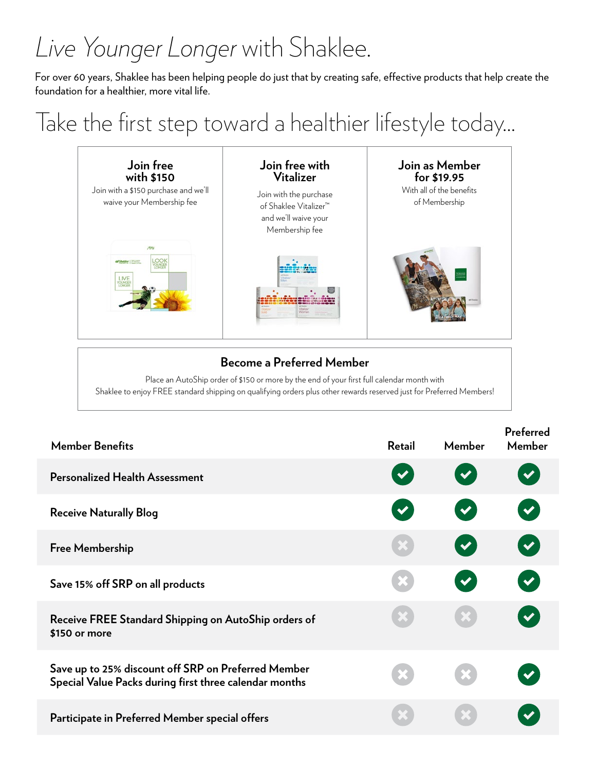# *Live Younger Longer* with Shaklee.

For over 60 years, Shaklee has been helping people do just that by creating safe, effective products that help create the foundation for a healthier, more vital life.

Take the first step toward a healthier lifestyle today…



### **Become a Preferred Member**

Place an AutoShip order of \$150 or more by the end of your first full calendar month with Shaklee to enjoy FREE standard shipping on qualifying orders plus other rewards reserved just for Preferred Members!

| <b>Member Benefits</b>                                                                                        | <b>Retail</b>        | Member               | Preferred<br>Member  |
|---------------------------------------------------------------------------------------------------------------|----------------------|----------------------|----------------------|
| <b>Personalized Health Assessment</b>                                                                         | $\blacktriangledown$ | $\blacktriangledown$ | $\blacktriangledown$ |
| <b>Receive Naturally Blog</b>                                                                                 | $\blacktriangledown$ | $\blacktriangledown$ | V                    |
| <b>Free Membership</b>                                                                                        |                      | $\blacktriangledown$ | $\blacktriangledown$ |
| Save 15% off SRP on all products                                                                              | X                    | $\blacktriangledown$ | $\blacktriangledown$ |
| Receive FREE Standard Shipping on AutoShip orders of<br>\$150 or more                                         |                      |                      |                      |
| Save up to 25% discount off SRP on Preferred Member<br>Special Value Packs during first three calendar months |                      |                      |                      |
| Participate in Preferred Member special offers                                                                |                      |                      |                      |